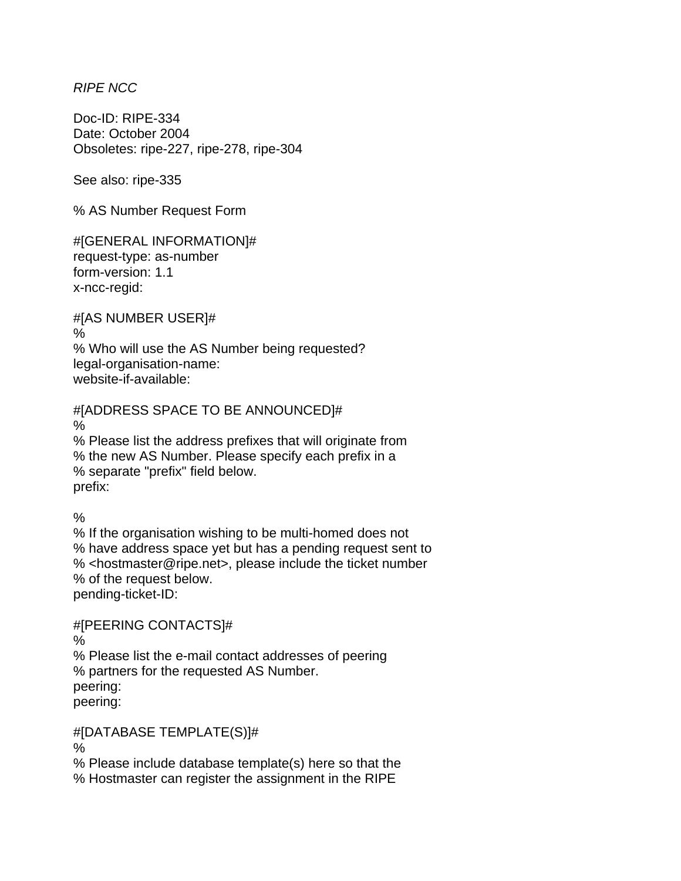*RIPE NCC* 

Doc-ID: RIPE-334 Date: October 2004 Obsoletes: ripe-227, ripe-278, ripe-304

See also: ripe-335

% AS Number Request Form

#[GENERAL INFORMATION]# request-type: as-number form-version: 1.1 x-ncc-regid:

#[AS NUMBER USER]# % % Who will use the AS Number being requested? legal-organisation-name: website-if-available:

#[ADDRESS SPACE TO BE ANNOUNCED]# % % Please list the address prefixes that will originate from % the new AS Number. Please specify each prefix in a % separate "prefix" field below. prefix:

%

% If the organisation wishing to be multi-homed does not % have address space yet but has a pending request sent to % <hostmaster@ripe.net>, please include the ticket number % of the request below. pending-ticket-ID:

#[PEERING CONTACTS]#

%

% Please list the e-mail contact addresses of peering % partners for the requested AS Number. peering: peering:

#[DATABASE TEMPLATE(S)]#

%

% Please include database template(s) here so that the

% Hostmaster can register the assignment in the RIPE